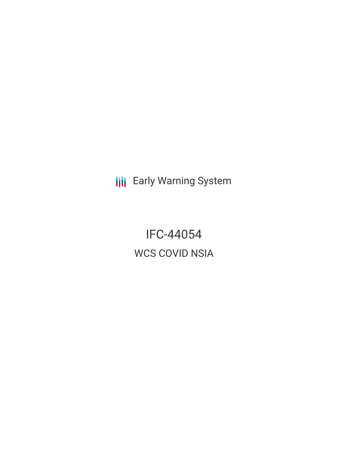**III** Early Warning System

IFC-44054 WCS COVID NSIA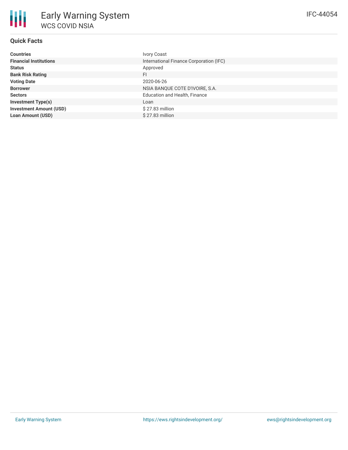### **Quick Facts**

朋

| <b>Countries</b>               | <b>Ivory Coast</b>                      |
|--------------------------------|-----------------------------------------|
| <b>Financial Institutions</b>  | International Finance Corporation (IFC) |
| <b>Status</b>                  | Approved                                |
| <b>Bank Risk Rating</b>        | FI                                      |
| <b>Voting Date</b>             | 2020-06-26                              |
| <b>Borrower</b>                | NSIA BANQUE COTE D'IVOIRE, S.A.         |
| <b>Sectors</b>                 | <b>Education and Health, Finance</b>    |
| <b>Investment Type(s)</b>      | Loan                                    |
| <b>Investment Amount (USD)</b> | $$27.83$ million                        |
| <b>Loan Amount (USD)</b>       | $$27.83$ million                        |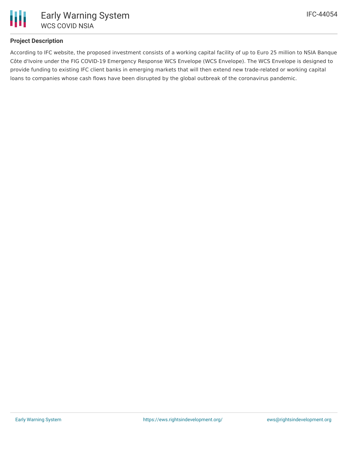

### **Project Description**

According to IFC website, the proposed investment consists of a working capital facility of up to Euro 25 million to NSIA Banque Côte d'Ivoire under the FIG COVID-19 Emergency Response WCS Envelope (WCS Envelope). The WCS Envelope is designed to provide funding to existing IFC client banks in emerging markets that will then extend new trade-related or working capital loans to companies whose cash flows have been disrupted by the global outbreak of the coronavirus pandemic.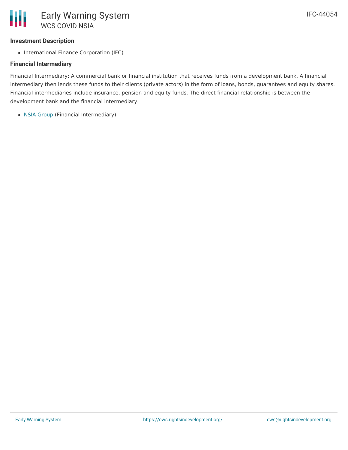# **Investment Description**

• International Finance Corporation (IFC)

# **Financial Intermediary**

Financial Intermediary: A commercial bank or financial institution that receives funds from a development bank. A financial intermediary then lends these funds to their clients (private actors) in the form of loans, bonds, guarantees and equity shares. Financial intermediaries include insurance, pension and equity funds. The direct financial relationship is between the development bank and the financial intermediary.

• NSIA [Group](file:///actor/2049/) (Financial Intermediary)